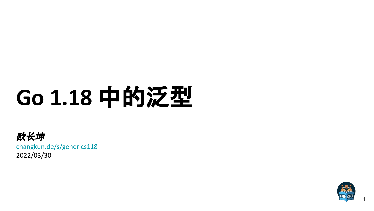# **Go 1.18** 中的泛型

欧长坤 [changkun.de/s/generics118](https://changkun.de/s/generics118) 2022/03/30



1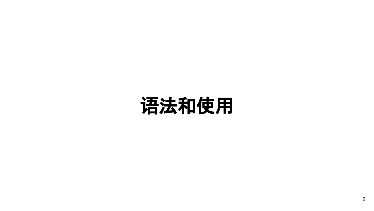## 语法和使用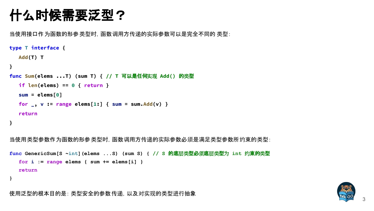### 什么时候需要泛型?

当使用接口作为函数的形参类型时,函数调用方传递的实际参数可以是完全不同的 类型:

```
type T interface {
   Add(T) T
}
func Sum(elems ...T) (sum T) { // T 可以是任何实现 Add() 的类型
   if len(elems) == 0 { return }
   sum = elems[0]
  for \sqrt{ }, v := range elems[1:] { sum = sum.Add(v) }
   return
}
当使用类型参数作为函数的形参类型时,函数调用方传递的实际参数必须是满足类型参数所约束的类型:
func GenericSum[S ~int](elems ...S) (sum S) { // S 的底层类型必须底层类型为 int 约束的类型
   for i := range elems { sum += elems[i] }
```

```
 return
```
**}**



3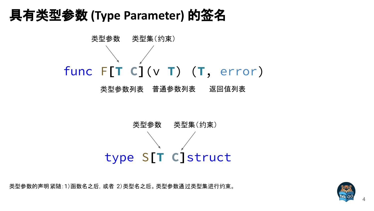### 具有类型参数 **(Type Parameter)** 的签名



类型参数列表 返回值列表



类型参数的声明紧随:1)函数名之后,或者 2)类型名之后。类型参数通过类型集进行约束。

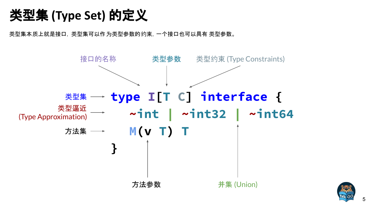类型集 **(Type Set)** 的定义

类型集本质上就是接口,类型集可以作为类型参数的约束,一个接口也可以具有 类型参数。



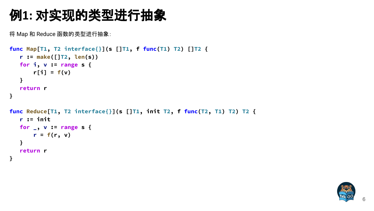### 例**1:** 对实现的类型进行抽象

将 Map 和 Reduce 函数的类型进行抽象:

```
func Map[T1, T2 interface{}](s []T1, f func(T1) T2) []T2 {
    r := make([]T2, len(s))
    for i, v := range s {
       r[i] = f(v) }
    return r
}
func Reduce[T1, T2 interface{}](s []T1, init T2, f func(T2, T1) T2) T2 {
    r := init
    for _, v := range s {
       r = f(r, v) }
    return r
}
```
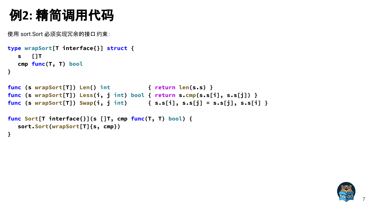### 例**2:** 精简调用代码

使用 sort.Sort 必须实现冗余的接口约束:

```
type wrapSort[T interface{}] struct {
   s []T
   cmp func(T, T) bool
}
func (s wrapSort[T]) Len() int { return len(s.s) }
func (s wrapSort[T]) Less(i, j int) bool { return s.cmp(s.s[i], s.s[j]) }
func (s wrapSort[T]) Swap(i, j int) { s.s[i], s.s[j] = s.s[j], s.s[i] }
func Sort[T interface{}](s []T, cmp func(T, T) bool) {
   sort.Sort(wrapSort[T]{s, cmp})
}
```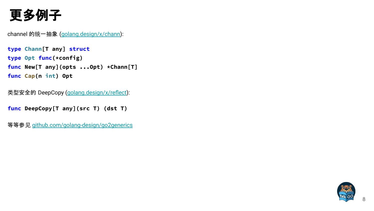### 更多例子

channel 的统一抽象 [\(golang.design/x/chann](http://golang.design/x/chann)):

**type Chann[T any] struct type Opt func(\*config) func New[T any](opts ...Opt) \*Chann[T] func Cap(n int) Opt**

类型安全的 DeepCopy [\(golang.design/x/reflect\)](http://golang.design/x/reflect):

**func DeepCopy[T any](src T) (dst T)**

等等参见 [github.com/golang-design/go2generics](http://github.com/golang-design/go2generics)

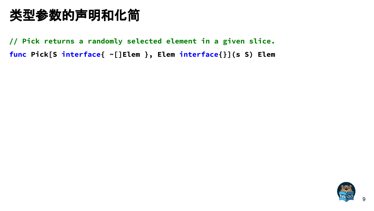**// Pick returns a randomly selected element in a given slice. func Pick[S interface{ ~[]Elem }, Elem interface{}](s S) Elem**

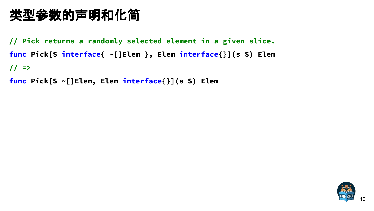**// Pick returns a randomly selected element in a given slice. func Pick[S interface{ ~[]Elem }, Elem interface{}](s S) Elem // =>**

**func Pick[S ~[]Elem, Elem interface{}](s S) Elem**

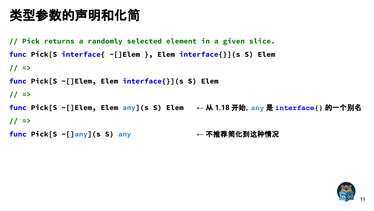```
// Pick returns a randomly selected element in a given slice.
func Pick[S interface{ ~[]Elem }, Elem interface{}](s S) Elem
// =>
func Pick[S ~[]Elem, Elem interface{}](s S) Elem
// =>
func Pick[S ~[]Elem, Elem any](s S) Elem ← 从 1.18 开始,any 是 interface{} 的一个别名
// =>
func Pick[S ~[]any](s S) any ← 不推荐简化到这种情况
```
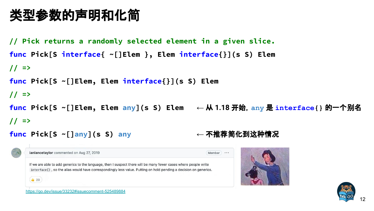```
// Pick returns a randomly selected element in a given slice.
func Pick[S interface{ ~[]Elem }, Elem interface{}](s S) Elem
// =>
func Pick[S ~[]Elem, Elem interface{}](s S) Elem
// =>
func Pick[S ~[]Elem, Elem any](s S) Elem ← 从 1.18 开始,any 是 interface{} 的一个别名
// =>
```








<https://go.dev/issue/33232#issuecomment-525489884>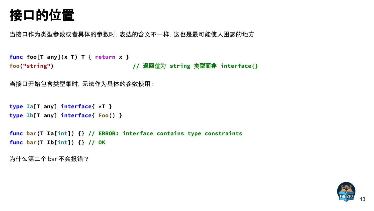### 接口的位置

当接口作为类型参数或者具体的参数时,表达的含义不一样,这也是最可能使人困惑的地方

```
func foo[T any](x T) T { return x }
foo("string") // 返回值为 string 类型而非 interface{}
```

```
当接口开始包含类型集时,无法作为具体的参数使用:
```

```
type Ia[T any] interface{ *T }
type Ib[T any] interface{ Foo() }
```
**func bar(T Ia[int]) {} // ERROR: interface contains type constraints func bar(T Ib[int]) {} // OK**

```
为什么第二个 bar 不会报错?
```
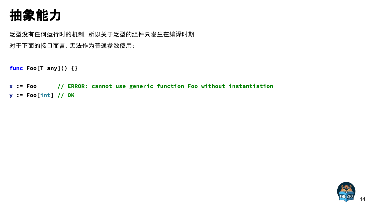### 抽象能力

泛型没有任何运行时的机制,所以关于泛型的组件只发生在编译时期 对于下面的接口而言,无法作为普通参数使用:

**func Foo[T any]() {}**

**x := Foo // ERROR: cannot use generic function Foo without instantiation y := Foo[int] // OK**

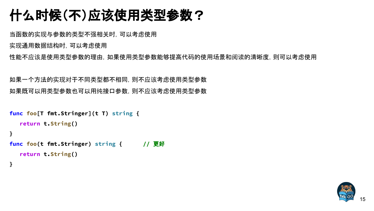### 什么时候(不)应该使用类型参数?

当函数的实现与参数的类型不强相关时,可以考虑使用

实现通用数据结构时,可以考虑使用

性能不应该是使用类型参数的理由,如果使用类型参数能够提高代码的使用场景和阅读的清晰度,则可以考虑使用

如果一个方法的实现对于不同类型都不相同,则不应该考虑使用类型参数 如果既可以用类型参数也可以用纯接口参数,则不应该考虑使用类型参数

```
func foo[T fmt.Stringer](t T) string {
    return t.String()
}
func foo(t fmt.Stringer) string { // 更好
    return t.String()
}
```
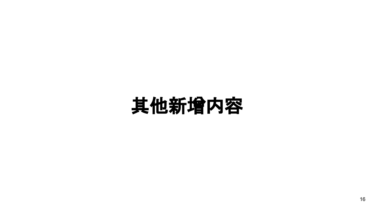## 其他新增内容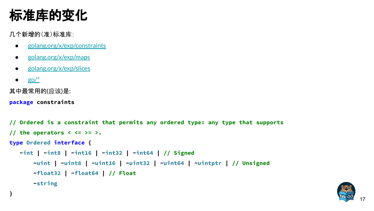### 标准库的变化

几个新增的(准)标准库:

- [golang.org/x/exp/constraints](http://golang.org/x/exp/constraints)
- [golang.org/x/exp/maps](http://golang.org/x/exp/maps)
- [golang.org/x/exp/slices](http://golang.org/x/exp/slices)
- $\bullet$  go/ $*$

其中最常用的(应该)是:

**package constraints**

```
// Ordered is a constraint that permits any ordered type: any type that supports
// the operators < <= >= >.
type Ordered interface {
    ~int | ~int8 | ~int16 | ~int32 | ~int64 | // Signed
        ~uint | ~uint8 | ~uint16 | ~uint32 | ~uint64 | ~uintptr | // Unsigned
        ~float32 | ~float64 | // Float
        ~string
}
```
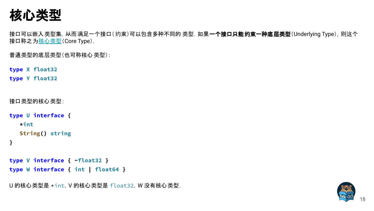核心类型

接口可以嵌入类型集, 从而满足一个接口(约束)可以包含多种不同的 类型. 如果一**个接口只能约束一种底层类型**(Underlying Type), 则这个 接口称之为[核心](https://go.dev/ref/spec#Core_types)类型(Core Type).

普通类型的底层类型(也可称核心类型):

**type X float32**

**type Y float32**

```
接口类型的核心类型:
```

```
type U interface {
    *int
    String() string
```
**}**

```
type V interface { ~float32 }
type W interface { int | float64 }
```
U 的核心类型是 \*int,V 的核心类型是 float32,W 没有核心类型.

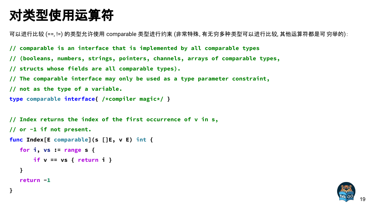### 对类型使用运算符

可以进行比较 (==, !=) 的类型允许使用 comparable 类型进行约束 (非常特殊, 有无穷多种类型可以进行比较, 其他运算符都是可 穷举的):

- **// comparable is an interface that is implemented by all comparable types**
- **// (booleans, numbers, strings, pointers, channels, arrays of comparable types,**
- **// structs whose fields are all comparable types).**
- **// The comparable interface may only be used as a type parameter constraint,**
- **// not as the type of a variable.**

```
type comparable interface{ /*compiler magic*/ }
```

```
// Index returns the index of the first occurrence of v in s,
// or -1 if not present.
func Index[E comparable](s []E, v E) int {
    for i, vs := range s {
        if v == vs { return i }
    }
    return -1
}
```
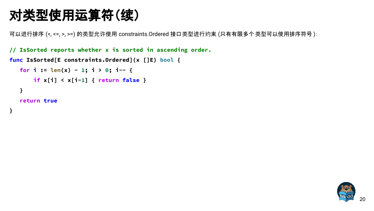### 对类型使用运算符(续)

可以进行排序 (<, <=, >, >=) 的类型允许使用 constraints.Ordered 接口类型进行约束 (只有有限多个类型可以使用排序符号 ):

**// IsSorted reports whether x is sorted in ascending order.**

```
func IsSorted[E constraints.Ordered](x []E) bool {
```

```
for i := \text{len}(x) - 1; i > 0; i-- if x[i] < x[i-1] { return false }
 }
```
 **return true**

**}**

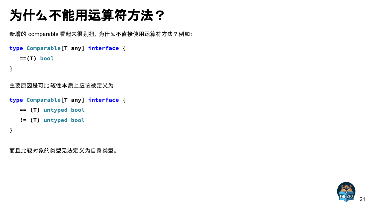### 为什么不能用运算符方法?

新增的 comparable 看起来很别扭, 为什么不直接使用运算符方法?例如:

```
type Comparable[T any] interface {
    ==(T) bool
```

```
}
```

```
主要原因是可比较性本质上应该被定义为
```

```
type Comparable[T any] interface {
    == (T) untyped bool
    != (T) untyped bool
}
```
而且比较对象的类型无法定义为自身类型。

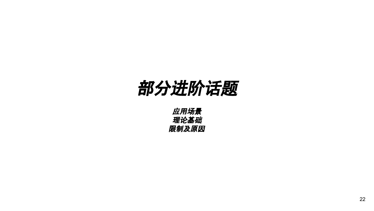## 部分进阶话题

应用场景 理论基础 限制及原因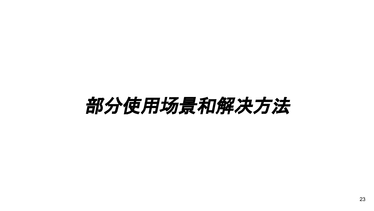## 部分使用场景和解决方法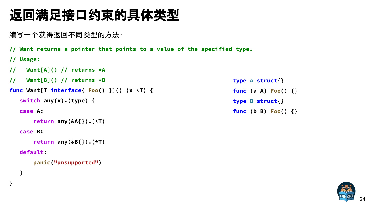### 返回满足接口约束的具体类型

编写一个获得返回不同类型的方法:

**// Want returns a pointer that points to a value of the specified type.**

```
// Usage:
```
- **// Want[A]() // returns \*A**
- **// Want[B]() // returns \*B**

```
func Want[T interface{ Foo() }]() (x *T) {
```

```
 switch any(x).(type) {
```
 **case A:**

```
 return any(&A{}).(*T)
```
 **case B:**

```
 return any(&B{}).(*T)
```
#### **default:**

 **}**

**}**

```
 panic("unsupported")
```
**type A struct{} func (a A) Foo() {} type B struct{} func (b B) Foo() {}**

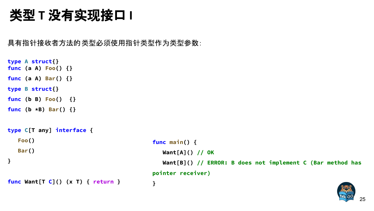### 类型 T 没有实现接口 I

具有指针接收者方法的类型必须使用指针类型作为类型参数:

```
type A struct{}
func (a A) Foo() {}
func (a A) Bar() {}
type B struct{}
func (b B) Foo() {}
func (b *B) Bar() {}
type C[T any] interface {
    Foo()
    Bar()
}
func Want[T C]() (x T) { return }
```

```
func main() {
   Want[A]() // OK
    Want[B]() // ERROR: B does not implement C (Bar method has
pointer receiver)
}
```
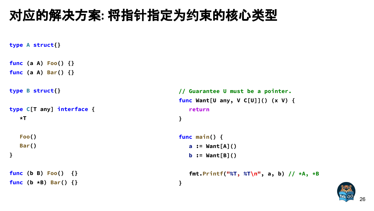### 对应的解决方案**:** 将指针指定为约束的核心类型

```
type A struct{}
func (a A) Foo() {}
func (a A) Bar() {}
type B struct{}
type C[T any] interface {
    *T
    Foo()
    Bar()
}
func (b B) Foo() {}
func (b *B) Bar() {}
```

```
// Guarantee U must be a pointer.
func Want[U any, V C[U]]() (x V) {
   return
}
```

```
func main() {
   a := Want[A]()
```
**}**

```
 fmt.Printf("%T, %T\n", a, b) // *A, *B
```
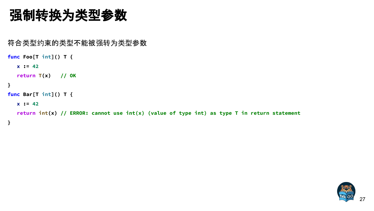### 强制转换为类型参数

符合类型约束的类型不能被强转为类型参数

```
func Foo[T int]() T {
   x := 42
    return T(x) // OK
}
func Bar[T int]() T {
   x := 42
    return int(x) // ERROR: cannot use int(x) (value of type int) as type T in return statement
}
```
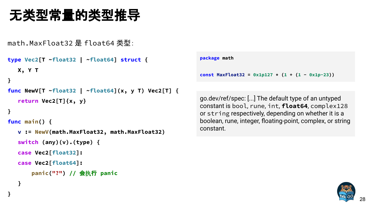### 无类型常量的类型推导

math.MaxFloat32 是 float64 类型:

```
type Vec2[T ~float32 | ~float64] struct {
   X, Y T
}
func NewV[T ~float32 | ~float64](x, y T) Vec2[T] {
    return Vec2[T]{x, y}
```

```
}
```
 **}**

**}**

**func main() {**

```
 v := NewV(math.MaxFloat32, math.MaxFloat32)
 switch (any)(v).(type) {
 case Vec2[float32]:
 case Vec2[float64]:
     panic("?") // 会执行 panic
```

```
package math
const MaxFloat32 = 0x1p127 \times (1 + (1 - 0x1p-23))
```
go.dev/ref/spec: [...] The default type of an untyped constant is bool, rune, int, **float64**, complex128 or string respectively, depending on whether it is a boolean, rune, integer, floating-point, complex, or string constant.

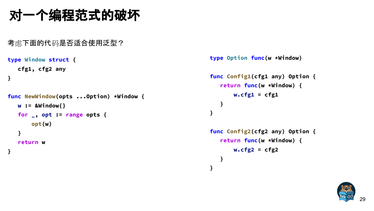### 对一个编程范式的破坏

```
考虑下面的代码是否适合使用泛型?
```

```
type Window struct {
    cfg1, cfg2 any
}
func NewWindow(opts ...Option) *Window {
    w := &Window{}
    for _, opt := range opts {
        opt(w)
    }
    return w
}
```

```
type Option func(w *Window)
```

```
func Config1(cfg1 any) Option {
    return func(w *Window) {
        w.cfg1 = cfg1
    }
}
```

```
func Config2(cfg2 any) Option {
    return func(w *Window) {
        w.cfg2 = cfg2
    }
}
```
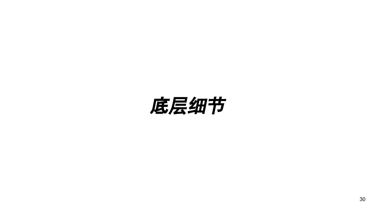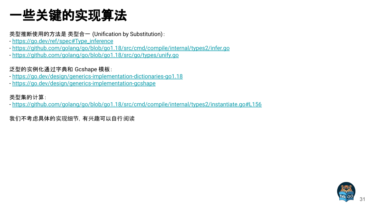### 一些关键的实现算法

类型推断使用的方法是 类型合一 (Unification by Substitution):

- [https://go.dev/ref/spec#Type\\_inference](https://go.dev/ref/spec#Type_inference)
- <https://github.com/golang/go/blob/go1.18/src/cmd/compile/internal/types2/infer.go>
- <https://github.com/golang/go/blob/go1.18/src/go/types/unify.go>

泛型的实例化通过字典和 Gcshape 模板:

- <https://go.dev/design/generics-implementation-dictionaries-go1.18>
- <https://go.dev/design/generics-implementation-gcshape>

#### 类型集的计算:

- <https://github.com/golang/go/blob/go1.18/src/cmd/compile/internal/types2/instantiate.go#L156>

我们不考虑具体的实现细节,有兴趣可以自行阅读

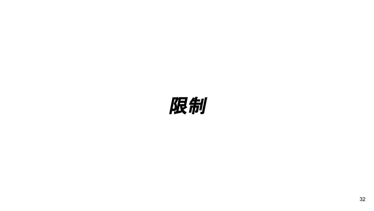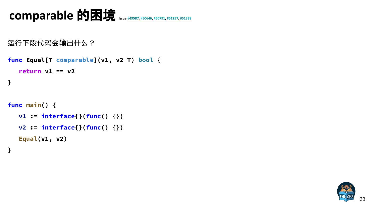### comparable 的困境 **Issue [#49587](http://go.dev/issue/49587), [#50646](http://go.dev/issue/50646), [#50791,](http://go.dev/issue/50791) [#51257](http://go.dev/issue/51257), [#51338](http://go.dev/issue/51338)**

```
运行下段代码会输出什么?
```

```
func Equal[T comparable](v1, v2 T) bool {
    return v1 == v2
}
func main() {
    v1 := interface{}(func() {})
    v2 := interface{}(func() {})
```
 **Equal(v1, v2)**

**}**

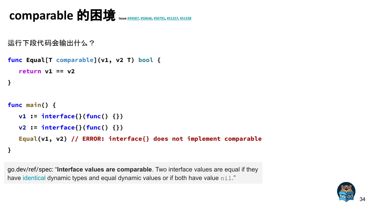```
comparable 的困境  #49587#50646#50791, #51257#51338
```

```
运行下段代码会输出什么?
```

```
func Equal[T comparable](v1, v2 T) bool {
    return v1 == v2
}
func main() {
    v1 := interface{}(func() {})
    v2 := interface{}(func() {})
    Equal(v1, v2) // ERROR: interface{} does not implement comparable
}
```
go.dev/ref/spec: "**Interface values are comparable**. Two interface values are equal if they have [identical](https://go.dev/ref/spec#Type_identity) dynamic types and equal dynamic values or if both have value nil."

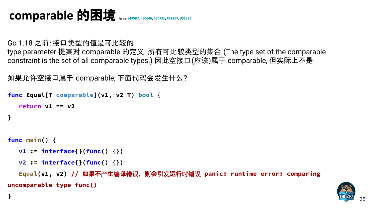### comparable 的困境 **Issue [#49587](http://go.dev/issue/49587), [#50646](http://go.dev/issue/50646), [#50791,](http://go.dev/issue/50791) [#51257](http://go.dev/issue/51257), [#51338](http://go.dev/issue/51338)**

Go 1.18 之前:接口类型的值是可比较的 type parameter 提案对 comparable 的定义:所有可比较类型的集合 (The type set of the comparable constraint is the set of all comparable types.) 因此空接口(应该)属于 comparable, 但实际上不是.

```
如果允许空接口属于 comparable, 下面代码会发生什么?
```

```
func Equal[T comparable](v1, v2 T) bool {
    return v1 == v2
}
```

```
func main() {
```

```
 v1 := interface{}(func() {})
```

```
 v2 := interface{}(func() {})
```
 **Equal(v1, v2) //** 如果不产生编译错误,则会引发运行时错误 **panic: runtime error: comparing uncomparable type func()**

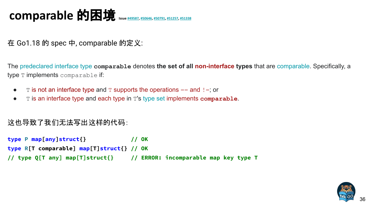### comparable 的困境  $\text{ s.t. } \frac{1}{2}$  **ISSNET ASSES**

在 Go1.18 的 spec 中, comparable 的定义:

The [predeclared](https://go.dev/ref/spec#Predeclared_identifiers) [interface type](https://go.dev/ref/spec#Interface_types) **comparable** denotes **the set of all non-interface types** that are [comparable](https://go.dev/ref/spec#Comparison_operators). Specifically, a type T implements comparable if:

- $\bullet$  T is not an interface type and T supports the operations == and !=; or
- T is an interface type and each type in T's [type set](https://go.dev/ref/spec#Interface_types) implements **comparable**.

#### 这也导致了我们无法写出这样的代码:

```
type P map[any]struct{} // OK
type R[T comparable] map[T]struct{} // OK
// type Q[T any] map[T]struct{} // ERROR: incomparable map key type T
```
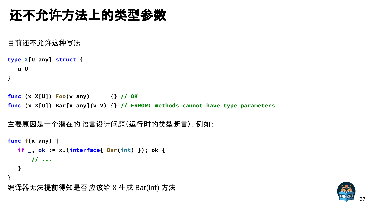### 还不允许方法上的类型参数

目前还不允许这种写法

```
type X[U any] struct {
    u U
}
```
**func (x X[U]) Foo(v any) {} // OK func (x X[U]) Bar[V any](v V) {} // ERROR: methods cannot have type parameters**

```
主要原因是一个潜在的 语言设计问题(运行时的类型断言),例如:
```

```
func f(x any) {
   if _, ok := x.(interface{ Bar(int) }); ok {
       // ...
   }
}
编译器无法提前得知是否应该给 X 生成 Bar(int) 方法
```
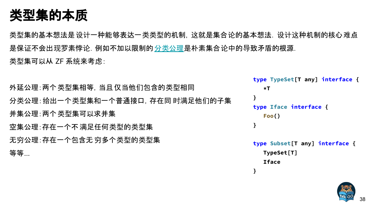### 类型集的本质

类型集的基本想法是设计一种能够表达一类类型的机制,这就是集合论的基本想法,设计这种机制的核心难点 是保证不会出现罗素悖论. 例如不加以限制的 分类[公理是](https://en.wikipedia.org/wiki/Axiom_schema_of_specification)朴素集合论中的导致矛盾的根源. 类型集可以从 ZF 系统来考虑:

外延公理:两个类型集相等,当且仅当他们包含的类型相同 分类公理:给出一个类型集和一个普通接口,存在同 时满足他们的子集 并集公理:两个类型集可以求并集 空集公理:存在一个不 满足任何类型的类型集 无穷公理:存在一个包含无 穷多个类型的类型集 等等...

**type TypeSet[T any] interface {**

 **\*T } type Iface interface { Foo() } type Subset[T any] interface { TypeSet[T]**

 **Iface**

**}**

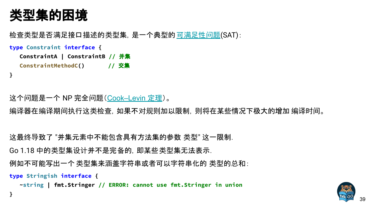### 类型集的困境

**}**

**}**

检查类型是否满足接口描述的类型集,是一个典型的可满[足性](https://en.wikipedia.org/wiki/Boolean_satisfiability_problem)问题(SAT):

**type Constraint interface {**

 **ConstraintA | ConstraintB //** 并集  **ConstraintMethodC() //** 交集

这个问题是一个 NP 完全问题([Cook–Levin](https://en.wikipedia.org/wiki/Cook%E2%80%93Levin_theorem) 定理)。

编译器在编译期间执行这类检查,如果不对规则加以限制,则将在某些情况下极大的增加 编译时间。

这最终导致了 "并集元素中不能包含具有方法集的参数 类型" 这一限制.

Go 1.18 中的类型集设计并不是完备的,即某些类型集无法表示.

例如不可能写出一个类型集来涵盖字符串或者可以字符串化的 类型的总和:

**type Stringish interface {**

 **~string | fmt.Stringer // ERROR: cannot use fmt.Stringer in union**

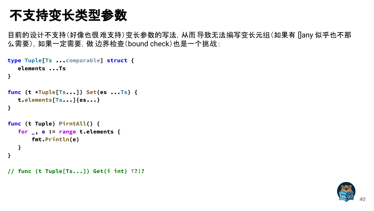### 不支持变长类型参数

目前的设计不支持(好像也很难支持)变长参数的写法,从而导致无法编写变长元组(如果有 []any 似乎也不那 么需要),如果一定需要,做 边界检查(bound check)也是一个挑战:

```
type Tuple[Ts ...comparable] struct {
    elements ...Ts
}
func (t *Tuple[Ts...]) Set(es ...Ts) {
    t.elements[Ts...]{es...}
}
func (t Tuple) PirntAll() {
    for _, e := range t.elements {
        fmt.Println(e)
    }
}
// func (t Tuple[Ts...]) Get(i int) T?!?
```
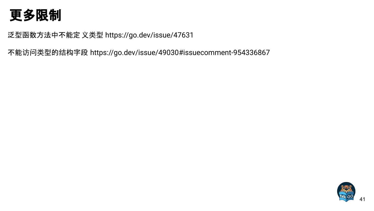### 更多限制

泛型函数方法中不能定 义类型 https://go.dev/issue/47631

不能访问类型的结构字段 https://go.dev/issue/49030#issuecomment-954336867

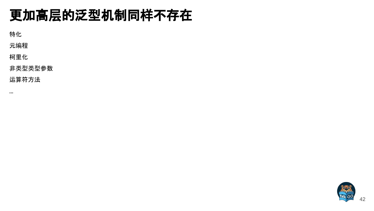### 更加高层的泛型机制同样不存在

特化

元编程

柯里化

非类型类型参数

运算符方法

...

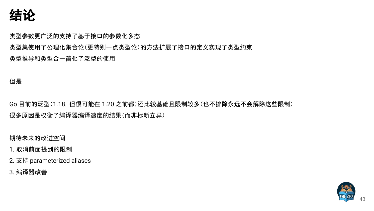

类型参数更广泛的支持了基于接口的参数化多态

类型集使用了公理化集合论(更特别一点类型论)的方法扩展了接口的定义实现了类型约束 类型推导和类型合一简化了泛型的使用

但是

Go 目前的泛型(1.18,但很可能在 1.20 之前都)还比较基础且限制较多(也不排除永远不会解除这些限制) 很多原因是权衡了编译器编译速度的结果(而非标新立异)

期待未来的改进空间

- 1. 取消前面提到的限制
- 2. 支持 parameterized aliases
- 3. 编译器改善

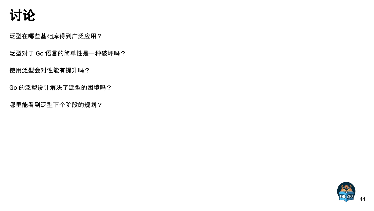

泛型在哪些基础库得到广泛应用?

泛型对于 Go 语言的简单性是一种破坏吗?

使用泛型会对性能有提升吗?

Go 的泛型设计解决了泛型的困境吗?

哪里能看到泛型下个阶段的规划?